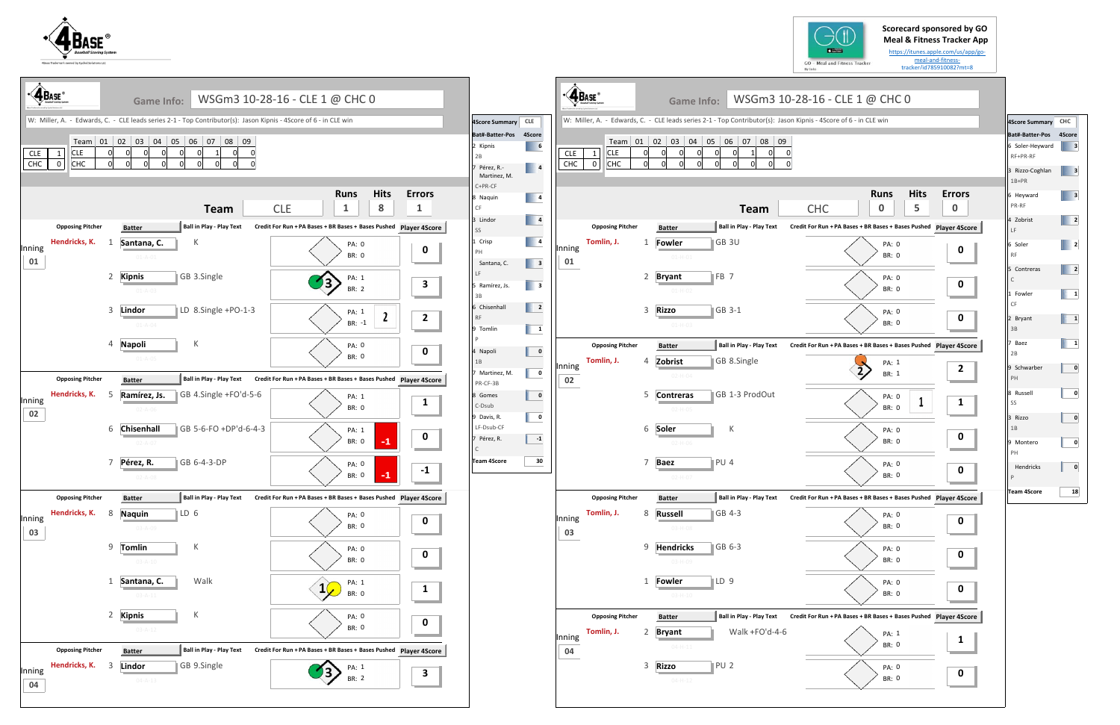



|                                                  |                                | <b>Game Info:</b>                         |                                                                                                                                                                                                                                   |                                                                                                                                                                                                               |                                                                                                                                                                                                                                                                                                  |                                                                                                                                                                                                                                                                                                                                                                                                                                                                                                                                                                                                                     |                                                                                              | <b>Game Info:</b>                                                           |                                                                                                                                                                                      |                                                                                                                                                                                                                                                                                                                                                                                                                                                     |
|--------------------------------------------------|--------------------------------|-------------------------------------------|-----------------------------------------------------------------------------------------------------------------------------------------------------------------------------------------------------------------------------------|---------------------------------------------------------------------------------------------------------------------------------------------------------------------------------------------------------------|--------------------------------------------------------------------------------------------------------------------------------------------------------------------------------------------------------------------------------------------------------------------------------------------------|---------------------------------------------------------------------------------------------------------------------------------------------------------------------------------------------------------------------------------------------------------------------------------------------------------------------------------------------------------------------------------------------------------------------------------------------------------------------------------------------------------------------------------------------------------------------------------------------------------------------|----------------------------------------------------------------------------------------------|-----------------------------------------------------------------------------|--------------------------------------------------------------------------------------------------------------------------------------------------------------------------------------|-----------------------------------------------------------------------------------------------------------------------------------------------------------------------------------------------------------------------------------------------------------------------------------------------------------------------------------------------------------------------------------------------------------------------------------------------------|
|                                                  |                                |                                           |                                                                                                                                                                                                                                   |                                                                                                                                                                                                               |                                                                                                                                                                                                                                                                                                  |                                                                                                                                                                                                                                                                                                                                                                                                                                                                                                                                                                                                                     |                                                                                              |                                                                             |                                                                                                                                                                                      |                                                                                                                                                                                                                                                                                                                                                                                                                                                     |
| <b>CLE</b><br>$\mathbf{1}$<br>CHC<br>$\mathbf 0$ |                                | 0l<br>$\Omega$<br>$\mathbf 0$<br>0        |                                                                                                                                                                                                                                   |                                                                                                                                                                                                               | Bat#-Batter-Pos 4Score<br>2 Kipnis<br>2B<br>7 Pérez, R.-<br>Martinez, M.                                                                                                                                                                                                                         |                                                                                                                                                                                                                                                                                                                                                                                                                                                                                                                                                                                                                     | <b>CLE</b><br>1<br> CHC<br>$\Omega$                                                          | $\mathbf 0$<br>$\Omega$<br>$\Omega$<br>$\Omega$<br>$\mathbf{0}$<br>$\Omega$ | $\Omega$                                                                                                                                                                             |                                                                                                                                                                                                                                                                                                                                                                                                                                                     |
|                                                  |                                | <b>Team</b>                               | <b>Hits</b><br><b>Runs</b><br>8<br><b>CLE</b><br>$\mathbf{1}$                                                                                                                                                                     | <b>Errors</b><br>$\mathbf{1}$                                                                                                                                                                                 | C+PR-CF<br>8 Naquin<br>CF                                                                                                                                                                                                                                                                        |                                                                                                                                                                                                                                                                                                                                                                                                                                                                                                                                                                                                                     |                                                                                              | <b>Team</b>                                                                 | <b>Hits</b><br><b>Runs</b><br>5<br><b>CHC</b><br>$\mathbf 0$                                                                                                                         | Erro<br>$\bf{0}$                                                                                                                                                                                                                                                                                                                                                                                                                                    |
| <b>Opposing Pitcher</b>                          |                                | Ball in Play - Play Text<br><b>Batter</b> |                                                                                                                                                                                                                                   |                                                                                                                                                                                                               | SS                                                                                                                                                                                                                                                                                               |                                                                                                                                                                                                                                                                                                                                                                                                                                                                                                                                                                                                                     | <b>Opposing Pitcher</b>                                                                      | <b>Batter</b>                                                               | Credit For Run + PA Bases + BR Bases + Bases Pushed Player 49                                                                                                                        |                                                                                                                                                                                                                                                                                                                                                                                                                                                     |
|                                                  |                                | K<br>Santana, C.<br>$01 - A - 01$         | PA: 0<br><b>BR: 0</b>                                                                                                                                                                                                             | $\mathbf 0$                                                                                                                                                                                                   | PH<br>Santana, C.                                                                                                                                                                                                                                                                                | 01                                                                                                                                                                                                                                                                                                                                                                                                                                                                                                                                                                                                                  |                                                                                              | <b>Fowler</b><br>$01 - H - 01$                                              | PA: 0<br><b>BR: 0</b>                                                                                                                                                                |                                                                                                                                                                                                                                                                                                                                                                                                                                                     |
|                                                  |                                | GB 3.Single<br>$01 - A - 03$              | PA: 1<br>BR: 2                                                                                                                                                                                                                    | $\overline{\mathbf{3}}$                                                                                                                                                                                       | LF<br>3B                                                                                                                                                                                                                                                                                         |                                                                                                                                                                                                                                                                                                                                                                                                                                                                                                                                                                                                                     |                                                                                              | FB <sub>7</sub><br><b>Bryant</b><br>$01 - H - 02$                           | PA: 0<br>BR: 0                                                                                                                                                                       | $\mathbf 0$                                                                                                                                                                                                                                                                                                                                                                                                                                         |
|                                                  |                                | LD 8.Single +PO-1-3<br>$01 - A - 04$      | PA: 1<br>$\mathbf{2}$<br>$BR: -1$                                                                                                                                                                                                 | $\overline{\mathbf{2}}$                                                                                                                                                                                       | 6 Chisenhall<br><b>RF</b><br>9 Tomlin                                                                                                                                                                                                                                                            |                                                                                                                                                                                                                                                                                                                                                                                                                                                                                                                                                                                                                     |                                                                                              | GB 3-1<br><b>Rizzo</b><br>$01 - H - 03$                                     | PA: 0<br>BR: 0                                                                                                                                                                       | $\mathbf 0$                                                                                                                                                                                                                                                                                                                                                                                                                                         |
|                                                  |                                | К<br>$01 - A - 05$                        | PA: 0<br><b>BR: 0</b>                                                                                                                                                                                                             | $\mathbf 0$                                                                                                                                                                                                   | P<br>1B                                                                                                                                                                                                                                                                                          |                                                                                                                                                                                                                                                                                                                                                                                                                                                                                                                                                                                                                     | <b>Opposing Pitcher</b><br>Tomlin, J.                                                        | <b>Batter</b>                                                               | Credit For Run + PA Bases + BR Bases + Bases Pushed Player 49                                                                                                                        |                                                                                                                                                                                                                                                                                                                                                                                                                                                     |
|                                                  |                                |                                           |                                                                                                                                                                                                                                   |                                                                                                                                                                                                               | 7 Martinez, M.                                                                                                                                                                                                                                                                                   |                                                                                                                                                                                                                                                                                                                                                                                                                                                                                                                                                                                                                     |                                                                                              | $02-H-04$                                                                   | BR: 1                                                                                                                                                                                |                                                                                                                                                                                                                                                                                                                                                                                                                                                     |
| Hendricks, K.                                    | 5                              | Ramírez, Js.<br>$02 - A - 06$             | PA: 1<br><b>BR: 0</b>                                                                                                                                                                                                             | $\mathbf{1}$                                                                                                                                                                                                  | 8 Gomes<br>C-Dsub                                                                                                                                                                                                                                                                                |                                                                                                                                                                                                                                                                                                                                                                                                                                                                                                                                                                                                                     |                                                                                              | $02 - H - 05$                                                               | PA: 0<br><b>BR: 0</b>                                                                                                                                                                |                                                                                                                                                                                                                                                                                                                                                                                                                                                     |
|                                                  |                                | $02 - A - 07$                             | PA: 1<br>$-1$<br>BR: 0                                                                                                                                                                                                            | $\mathbf 0$                                                                                                                                                                                                   | LF-Dsub-CF<br>7 Pérez, R.                                                                                                                                                                                                                                                                        |                                                                                                                                                                                                                                                                                                                                                                                                                                                                                                                                                                                                                     |                                                                                              | К<br>$02 - H - 06$                                                          | PA: 0<br>BR: 0                                                                                                                                                                       |                                                                                                                                                                                                                                                                                                                                                                                                                                                     |
|                                                  |                                | GB 6-4-3-DP<br>$02 - A - 08$              | PA: 0<br>$-1$<br><b>BR: 0</b>                                                                                                                                                                                                     | $-1$                                                                                                                                                                                                          | Team 4Score                                                                                                                                                                                                                                                                                      |                                                                                                                                                                                                                                                                                                                                                                                                                                                                                                                                                                                                                     |                                                                                              | PU 4<br><b>Baez</b><br>$02-H-07$                                            | PA: 0<br><b>BR: 0</b>                                                                                                                                                                |                                                                                                                                                                                                                                                                                                                                                                                                                                                     |
| <b>Opposing Pitcher</b>                          |                                | <b>Ball in Play - Play Text</b>           |                                                                                                                                                                                                                                   |                                                                                                                                                                                                               |                                                                                                                                                                                                                                                                                                  |                                                                                                                                                                                                                                                                                                                                                                                                                                                                                                                                                                                                                     | <b>Opposing Pitcher</b>                                                                      |                                                                             |                                                                                                                                                                                      |                                                                                                                                                                                                                                                                                                                                                                                                                                                     |
| Hendricks, K.                                    | 8                              | $\mathbb{ID} 6$<br>$03 - A - 09$          | PA: 0<br>BR: 0                                                                                                                                                                                                                    | $\mathbf 0$                                                                                                                                                                                                   |                                                                                                                                                                                                                                                                                                  |                                                                                                                                                                                                                                                                                                                                                                                                                                                                                                                                                                                                                     | Tomlin, J.                                                                                   | GB 4-3<br><b>Russell</b><br>03-H-08                                         | PA: 0<br>BR: 0                                                                                                                                                                       | O                                                                                                                                                                                                                                                                                                                                                                                                                                                   |
|                                                  |                                | К<br>$03 - A - 10$                        | PA: 0<br>BR: 0                                                                                                                                                                                                                    | $\mathbf 0$                                                                                                                                                                                                   |                                                                                                                                                                                                                                                                                                  |                                                                                                                                                                                                                                                                                                                                                                                                                                                                                                                                                                                                                     |                                                                                              | GB 6-3<br>03-H-09                                                           | PA: 0<br>BR: 0                                                                                                                                                                       | O                                                                                                                                                                                                                                                                                                                                                                                                                                                   |
|                                                  |                                | Walk<br>$03 - A - 11$                     | PA: 1<br>1(<br>BR: 0                                                                                                                                                                                                              | $\mathbf{1}$                                                                                                                                                                                                  |                                                                                                                                                                                                                                                                                                  |                                                                                                                                                                                                                                                                                                                                                                                                                                                                                                                                                                                                                     |                                                                                              | $\mathbb{ID}9$<br>$03 - H - 10$                                             | PA: 0<br>BR: 0                                                                                                                                                                       | O                                                                                                                                                                                                                                                                                                                                                                                                                                                   |
|                                                  |                                | К<br>$03 - A - 12$                        | PA: 0<br>BR: 0                                                                                                                                                                                                                    | $\mathbf 0$<br>and the company of the company                                                                                                                                                                 |                                                                                                                                                                                                                                                                                                  |                                                                                                                                                                                                                                                                                                                                                                                                                                                                                                                                                                                                                     | <b>Opposing Pitcher</b><br>Tomlin, J.                                                        | <b>Batter</b><br><b>Bryant</b>                                              | Credit For Run + PA Bases + BR Bases + Bases Pushed Player 49                                                                                                                        |                                                                                                                                                                                                                                                                                                                                                                                                                                                     |
| <b>Opposing Pitcher</b>                          |                                | Ball in Play - Play Text<br><b>Batter</b> |                                                                                                                                                                                                                                   |                                                                                                                                                                                                               |                                                                                                                                                                                                                                                                                                  |                                                                                                                                                                                                                                                                                                                                                                                                                                                                                                                                                                                                                     |                                                                                              | $04 - H - 11$                                                               | BR: 0                                                                                                                                                                                |                                                                                                                                                                                                                                                                                                                                                                                                                                                     |
| Hendricks, K.                                    | 3                              | Lindor<br>GB 9.Single                     |                                                                                                                                                                                                                                   |                                                                                                                                                                                                               |                                                                                                                                                                                                                                                                                                  |                                                                                                                                                                                                                                                                                                                                                                                                                                                                                                                                                                                                                     |                                                                                              |                                                                             |                                                                                                                                                                                      | O                                                                                                                                                                                                                                                                                                                                                                                                                                                   |
|                                                  | <b>4</b> BASE<br>Hendricks, K. | <b>Opposing Pitcher</b>                   | Team 01 02 03 04 05 06 07 08 09<br>2 Kipnis<br>3 Lindor<br>4 Napoli<br><b>Ball in Play - Play Text</b><br><b>Batter</b><br>6 Chisenhall<br>7 Pérez, R.<br><b>Batter</b><br><b>Naquin</b><br>9 Tomlin<br>1 Santana, C.<br>2 Kipnis | WSGm3 10-28-16 - CLE 1 @ CHC 0<br>W: Miller, A. - Edwards, C. - CLE leads series 2-1 - Top Contributor(s): Jason Kipnis - 4Score of 6 - in CLE win<br>GB 4.Single +FO'd-5-6<br>GB 5-6-FO +DP'd-6-4-3<br>PA: 1 | Credit For Run + PA Bases + BR Bases + Bases Pushed Player 4Score<br>Credit For Run + PA Bases + BR Bases + Bases Pushed Player 4Score<br>Credit For Run + PA Bases + BR Bases + Bases Pushed Player 4Score<br>Credit For Run + PA Bases + BR Bases + Bases Pushed Player 4Score<br>$\mathbf{3}$ | 4Score Summary CLE<br>$\begin{array}{ c c c c c } \hline \quad\quad & \mathbf{6} \end{array}$<br>$\begin{array}{ c c c }\n\hline\n\hline\n\end{array}$ 4<br>$\begin{array}{ c c c }\n\hline\n\text{4}\n\end{array}$<br>$\begin{array}{ c c c }\n\hline\n\hline\n\end{array}$ 4<br>3 Lindor<br>1 Crisp<br>$\vert \vert$ 3<br>$\sqrt{3}$<br>5 Ramírez, Js.<br>$\begin{array}{ c c c }\n\hline\n\text{2} & \text{2}\n\end{array}$<br>$\mathbf{1}$<br>$\mathbf 0$<br>4 Napoli<br>$\overline{\mathbf{0}}$<br>PR-CF-3B<br>$\overline{\mathbf{0}}$<br>$\overline{\mathbf{0}}$<br>9 Davis, R.<br>$-1$<br>$\mathsf{C}$<br>30 | <b>CLE</b><br>CHC<br>$\begin{array}{ c c c }\n\hline\n\hline\n\end{array}$<br>02<br>03<br>04 | <b>ABASE</b><br>Tomlin, J.<br>Inning<br>Inning<br>Inning<br>Inning          | GB 3U<br>1<br>2<br>3<br>Zobrist<br>GB 8.Single<br>4<br>GB 1-3 ProdOut<br>5 Contreras<br>6 Soler<br>7<br><b>Batter</b><br>8<br>9 Hendricks<br>1 <b>Fowler</b><br>2<br>PU <sub>2</sub> | WSGm3 10-28-16 - CLE 1 @ CHC 0<br>W: Miller, A. - Edwards, C. - CLE leads series 2-1 - Top Contributor(s): Jason Kipnis - 4Score of 6 - in CLE win<br>Team 01 02 03 04 05 06 07 08 09<br><b>Ball in Play - Play Text</b><br><b>Ball in Play - Play Text</b><br>PA: 1<br><b>Ball in Play - Play Text</b><br>Credit For Run + PA Bases + BR Bases + Bases Pushed Player 49<br>Ball in Play - Play Text<br>Walk +FO'd-4-6<br>PA: 1<br>3 Rizzo<br>PA: 0 |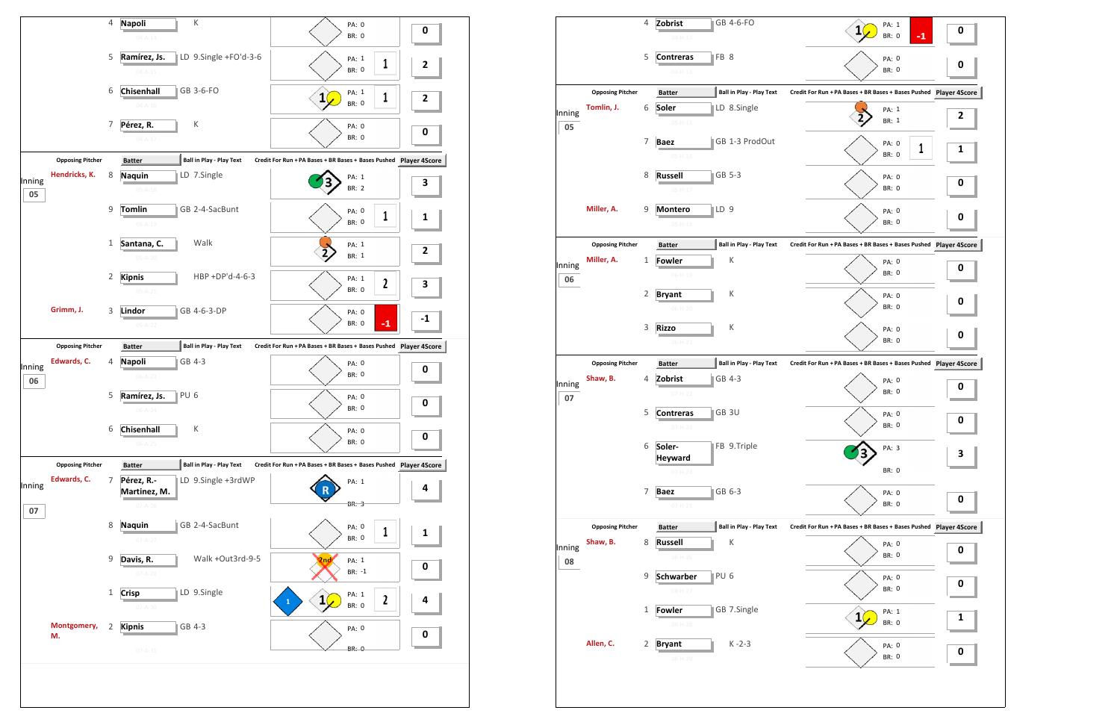

|              |                         | 4 | Zobrist<br>GB 4-6-FO<br>$04 - H - 13$              | PA: 1<br>$\mathbf{1}$<br>$-1$<br><b>BR: 0</b>                 | 0 |
|--------------|-------------------------|---|----------------------------------------------------|---------------------------------------------------------------|---|
|              |                         | 5 | FB 8<br><b>Contreras</b><br>$04 - H - 14$          | PA: 0<br><b>BR: 0</b>                                         | 0 |
|              | <b>Opposing Pitcher</b> |   | <b>Ball in Play - Play Text</b><br><b>Batter</b>   | Credit For Run + PA Bases + BR Bases + Bases Pushed Player 4S |   |
| Inning<br>05 | Tomlin, J.              | 6 | Soler<br>LD 8.Single<br>$05-H-15$                  | PA: 1<br>BR: 1                                                | 2 |
|              |                         | 7 | GB 1-3 ProdOut<br><b>Baez</b><br>$05 - H - 16$     | PA: 0<br>1<br>BR: 0                                           | 1 |
|              |                         | 8 | GB 5-3<br><b>Russell</b><br>$05-H-17$              | PA: 0<br>BR: 0                                                | 0 |
|              | Miller, A.              | 9 | LD <sub>9</sub><br><b>Montero</b><br>$05 - H - 18$ | PA: 0<br><b>BR: 0</b>                                         | 0 |
|              | <b>Opposing Pitcher</b> |   | <b>Ball in Play - Play Text</b><br><b>Batter</b>   | Credit For Run + PA Bases + BR Bases + Bases Pushed Player 4S |   |
| Inning<br>06 | Miller, A.              | 1 | К<br>Fowler<br>$06 - H - 19$                       | PA: 0<br>BR: 0                                                | 0 |
|              |                         | 2 | К<br><b>Bryant</b><br>$06-H-20$                    | PA: 0<br>BR: 0                                                | 0 |
|              |                         | 3 | К<br><b>Rizzo</b><br>$06 - H - 21$                 | PA: 0<br><b>BR: 0</b>                                         | 0 |
|              | <b>Opposing Pitcher</b> |   | <b>Ball in Play - Play Text</b><br><b>Batter</b>   | Credit For Run + PA Bases + BR Bases + Bases Pushed Player 4S |   |
| Inning<br>07 | Shaw, B.                | 4 | GB 4-3<br>Zobrist<br>$07-H-22$                     | PA: 0<br><b>BR: 0</b>                                         | 0 |
|              |                         | 5 | GB 3U<br><b>Contreras</b><br>07-H-23               | PA: 0<br><b>BR: 0</b>                                         | 0 |
|              |                         | 6 | FB 9.Triple<br>Soler-<br><b>Heyward</b>            | PA: 3                                                         | 3 |
|              |                         |   | $07 - H - 24$                                      | BR: 0                                                         |   |
|              |                         | 7 | GB 6-3<br><b>Baez</b><br>$07-H-25$                 | PA: 0<br>BR: 0                                                | 0 |
|              | <b>Opposing Pitcher</b> |   | <b>Ball in Play - Play Text</b><br><b>Batter</b>   | Credit For Run + PA Bases + BR Bases + Bases Pushed Player 4S |   |
| Inning<br>08 | Shaw, B.                | 8 | К<br><b>Russell</b><br>$08 - H - 26$               | PA: 0<br>BR: 0                                                | 0 |
|              |                         | 9 | PU <sub>6</sub><br>Schwarber<br>$08 - H - 27$      | PA: 0<br>BR: 0                                                | 0 |
|              |                         | 1 | <b>Fowler</b><br>GB 7.Single<br>$08 - H - 28$      | PA: 1<br><b>BR: 0</b>                                         | 1 |
|              | Allen, C.               | 2 | $K - 2 - 3$<br><b>Bryant</b><br>$08 - H - 29$      | PA: 0<br>BR: 0                                                | 0 |

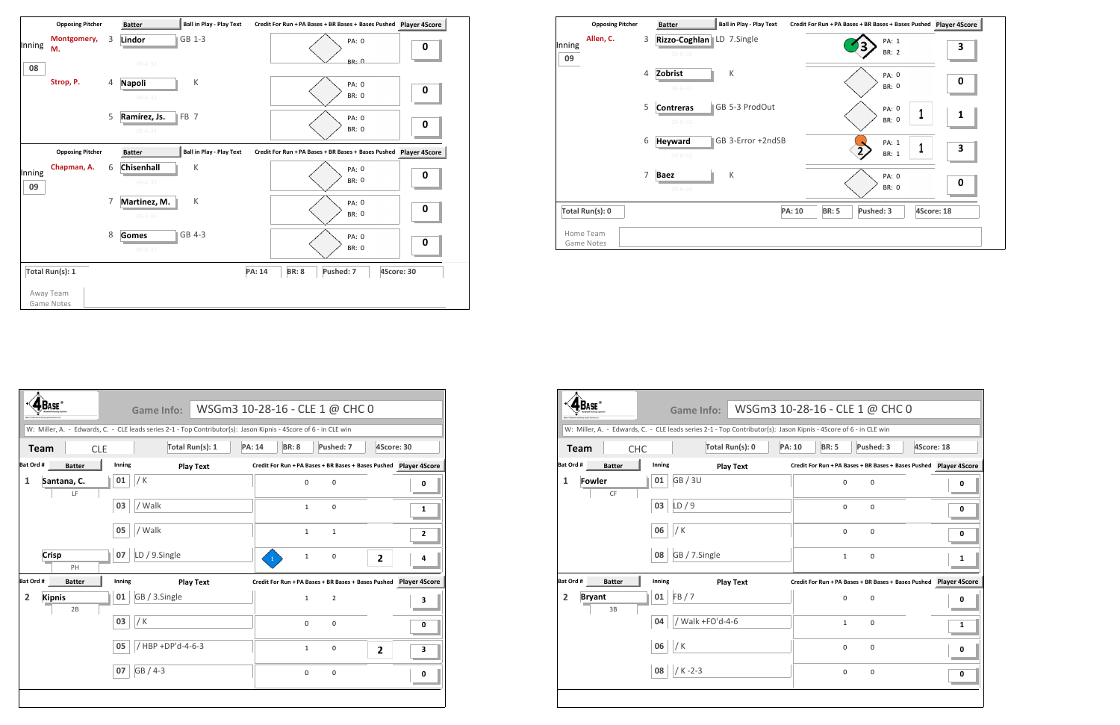

|                                       |                    | <b>Game Info:</b>                                                                                                |               | WSGm3 10-28-16 - CLE 1 @ CHC 0                                       |             |            |   |
|---------------------------------------|--------------------|------------------------------------------------------------------------------------------------------------------|---------------|----------------------------------------------------------------------|-------------|------------|---|
|                                       |                    | W: Miller, A. - Edwards, C. - CLE leads series 2-1 - Top Contributor(s): Jason Kipnis - 4Score of 6 - in CLE win |               |                                                                      |             |            |   |
| <b>CHC</b><br><b>Team</b>             |                    | Total Run(s): 0                                                                                                  | <b>PA: 10</b> | <b>BR: 5</b>                                                         | Pushed: 3   | 4Score: 18 |   |
| Bat Ord #<br><b>Batter</b>            | Inning             | <b>Play Text</b>                                                                                                 |               | Credit For Run + PA Bases + BR Bases + Bases Pushed Player 4Score    |             |            |   |
| <b>Fowler</b><br>$\mathbf{1}$<br>CF   | <b>GB/3U</b><br>01 |                                                                                                                  |               | $\mathbf 0$                                                          | $\mathsf 0$ |            | 0 |
|                                       | LD/9<br>03         |                                                                                                                  |               | 0                                                                    | 0           |            | 0 |
|                                       | / K<br>06          |                                                                                                                  |               | $\Omega$                                                             | $\Omega$    |            | 0 |
|                                       | 08                 | GB / 7.Single                                                                                                    |               | $\mathbf{1}$                                                         | $\mathbf 0$ |            | 1 |
| Bat Ord #<br><b>Batter</b>            | Inning             | <b>Play Text</b>                                                                                                 |               | Credit For Run + PA Bases + BR Bases + Bases Pushed    Player 4Score |             |            |   |
| <b>Bryant</b><br>$\overline{2}$<br>3B | FB/7<br>01         |                                                                                                                  |               | $\Omega$                                                             | $\mathbf 0$ |            | n |
|                                       | 04                 | / Walk +FO'd-4-6                                                                                                 |               | $\mathbf{1}$                                                         | $\mathbf 0$ |            | 1 |
|                                       | /K<br>06           |                                                                                                                  |               | 0                                                                    | $\mathbf 0$ |            | 0 |
|                                       | $/K - 2 - 3$<br>08 |                                                                                                                  |               | 0                                                                    | $\pmb{0}$   |            | 0 |

|                           | <b>Opposing Pitcher</b> | <b>Batter</b>                          | <b>Ball in Play - Play Text</b> |                               | Credit For Run + PA Bases + BR Bases + Bases Pushed | Player 4S  |
|---------------------------|-------------------------|----------------------------------------|---------------------------------|-------------------------------|-----------------------------------------------------|------------|
| Allen, C.<br>Inning<br>09 | 3                       | Rizzo-Coghlan LD 7.Single<br>$09-H-30$ |                                 |                               | PA: 1<br><b>BR: 2</b>                               | 3          |
|                           | 4                       | Zobrist<br>09-H-31                     | К                               |                               | PA: 0<br><b>BR: 0</b>                               | 0          |
|                           | 5                       | <b>Contreras</b><br>09-H-32            | GB 5-3 ProdOut                  |                               | PA: 0<br>BR: 0                                      | 1          |
|                           | 6                       | <b>Heyward</b><br>09-H-33              | GB 3-Error +2ndSB               |                               | PA: 1<br>$\overline{2}$<br><b>BR: 1</b>             | 4<br>3     |
|                           | 7                       | <b>Baez</b><br>$09-H-34$               | К                               |                               | PA: 0<br><b>BR: 0</b>                               | 0          |
| Total Run(s): 0           |                         |                                        |                                 | <b>PA: 10</b><br><b>BR: 5</b> | Pushed: 3                                           | 4Score: 18 |
| Home Team<br>Game Notes   |                         |                                        |                                 |                               |                                                     |            |



|                |                     |        | <b>Game Info:</b>                                                                                                |               | WSGm3 10-28-16 - CLE 1 @ CHC 0                                       |                |            |   |
|----------------|---------------------|--------|------------------------------------------------------------------------------------------------------------------|---------------|----------------------------------------------------------------------|----------------|------------|---|
|                |                     |        | W: Miller, A. - Edwards, C. - CLE leads series 2-1 - Top Contributor(s): Jason Kipnis - 4Score of 6 - in CLE win |               |                                                                      |                |            |   |
| <b>Team</b>    | <b>CLE</b>          |        | Total Run(s): 1                                                                                                  | <b>PA: 14</b> | <b>BR: 8</b>                                                         | Pushed: 7      | 4Score: 30 |   |
| Bat Ord #      | <b>Batter</b>       | Inning | <b>Play Text</b>                                                                                                 |               | Credit For Run + PA Bases + BR Bases + Bases Pushed    Player 4Score |                |            |   |
| $\mathbf{1}$   | Santana, C.<br>LF   | 01     | / K                                                                                                              |               | $\mathbf 0$                                                          | $\mathsf 0$    |            | 0 |
|                |                     | 03     | / Walk                                                                                                           |               | $\mathbf{1}$                                                         | 0              |            | 1 |
|                |                     | 05     | / Walk                                                                                                           |               | $\mathbf{1}$                                                         | $\mathbf{1}$   |            | 2 |
|                | <b>Crisp</b><br>PH  | 07     | LD / 9.Single                                                                                                    |               | $\mathbf 1$                                                          | 0              | 2          |   |
| Bat Ord #      | <b>Batter</b>       | Inning | <b>Play Text</b>                                                                                                 |               | Credit For Run + PA Bases + BR Bases + Bases Pushed    Player 4Score |                |            |   |
| $\overline{2}$ | <b>Kipnis</b><br>2B | 01     | GB / 3.Single                                                                                                    |               | $\mathbf{1}$                                                         | $\overline{2}$ |            | 3 |
|                |                     | 03     | / K                                                                                                              |               | $\mathbf 0$                                                          | 0              |            | 0 |
|                |                     | 05     | / HBP +DP'd-4-6-3                                                                                                |               | $\mathbf{1}$                                                         | 0              | 2          | 3 |
|                |                     | 07     | GB / 4-3                                                                                                         |               | $\mathsf 0$                                                          | $\pmb{0}$      |            | 0 |
|                |                     |        |                                                                                                                  |               |                                                                      |                |            |   |
|                |                     |        |                                                                                                                  |               |                                                                      |                |            |   |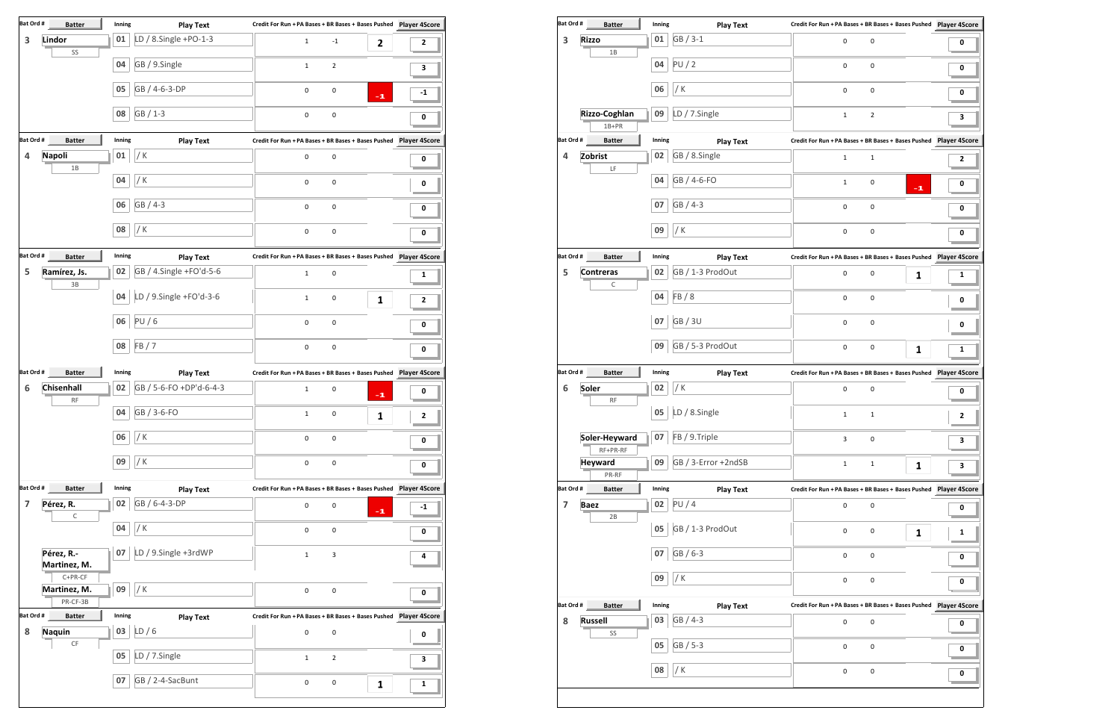| Bat Ord #      | <b>Batter</b>                  | Inning | <b>Play Text</b>        |                                                                   |              |
|----------------|--------------------------------|--------|-------------------------|-------------------------------------------------------------------|--------------|
| 3              | Lindor<br>SS                   | 01     | LD / 8.Single +PO-1-3   | $\mathbf{1}$<br>$-1$<br>2                                         | $\mathbf{2}$ |
|                |                                | 04     | GB / 9.Single           | $\overline{2}$<br>$\mathbf 1$                                     | З            |
|                |                                | 05     | GB / 4-6-3-DP           | 0<br>$\mathsf 0$<br>$-1$                                          | $-1$         |
|                |                                | 08     | GB / 1-3                | $\pmb{0}$<br>$\pmb{0}$                                            | 0            |
|                |                                |        |                         |                                                                   |              |
| Bat Ord #      | <b>Batter</b>                  | Inning | <b>Play Text</b>        |                                                                   |              |
| 4              | <b>Napoli</b><br>1B            | 01     | / K                     | 0<br>$\mathsf 0$                                                  | 0            |
|                |                                | 04     | / K                     | 0<br>$\mathsf 0$                                                  | 0            |
|                |                                | 06     | GB / 4-3                | 0<br>0                                                            | 0            |
|                |                                | 08     | / K                     | 0<br>$\pmb{0}$                                                    | 0            |
| Bat Ord #      | <b>Batter</b>                  | Inning | <b>Play Text</b>        | Credit For Run + PA Bases + BR Bases + Bases Pushed Player 4Score |              |
| 5              | Ramírez, Js.<br>3B             | 02     | GB / 4.Single +FO'd-5-6 | $\mathbf 1$<br>$\mathsf 0$                                        | 1            |
|                |                                | 04     | LD / 9.Single +FO'd-3-6 | $\mathbf{1}$<br>0<br>1                                            | 2            |
|                |                                | 06     | PU/6                    | $\pmb{0}$<br>0                                                    | 0            |
|                |                                | 08     | FB/7                    | 0<br>0                                                            | 0            |
| Bat Ord #      | <b>Batter</b>                  | Inning |                         | Credit For Run + PA Bases + BR Bases + Bases Pushed Player 4Score |              |
|                |                                |        | <b>Play Text</b>        |                                                                   |              |
| 6              | Chisenhall<br><b>RF</b>        | 02     | GB / 5-6-FO +DP'd-6-4-3 | $\mathsf 0$<br>$\mathbf{1}$<br>$-1$                               | 0            |
|                |                                | 04     | GB / 3-6-FO             | 0<br>$\mathbf 1$<br>1                                             | 2            |
|                |                                | 06     | / K                     | 0<br>0                                                            | 0            |
|                |                                | 09     | / K                     | 0<br>0                                                            | 0            |
| Bat Ord #      | <b>Batter</b>                  | Inning | <b>Play Text</b>        | Credit For Run + PA Bases + BR Bases + Bases Pushed Player 4Score |              |
| $\overline{7}$ | Pérez, R.<br>C                 | 02     | GB / 6-4-3-DP           | $\pmb{0}$<br>0<br>$-1$                                            | $-1$         |
|                |                                | 04     | / K                     | 0<br>0                                                            | 0            |
|                | Pérez, R.-<br>Martinez, M.     | 07     | LD / 9.Single +3rdWP    | 3<br>$\mathbf{1}$                                                 | 4            |
|                | $C+PR-CF$                      |        |                         |                                                                   |              |
|                | Martinez, M.<br>PR-CF-3B       | 09     | $/$ K                   | $\pmb{0}$<br>0                                                    | 0            |
| Bat Ord #      | <b>Batter</b>                  | Inning | <b>Play Text</b>        | Credit For Run + PA Bases + BR Bases + Bases Pushed Player 4Score |              |
| 8              | <b>Naquin</b><br>$\mathsf{CF}$ | 03     | LD/6                    | 0<br>$\mathsf 0$                                                  | 0            |
|                |                                | 05     | LD / 7.Single           | $\mathbf{1}$<br>$\overline{2}$                                    | 3            |
|                |                                | 07     | GB / 2-4-SacBunt        | $\pmb{0}$<br>0<br>1                                               | $\mathbf{1}$ |
|                |                                |        |                         |                                                                   |              |

|                         | Bat Ord #<br><b>Batter</b>      | Inning       | <b>Play Text</b>             | Credit For Run + PA Bases + BR Bases + Bases Pushed Player 4Score    |              |
|-------------------------|---------------------------------|--------------|------------------------------|----------------------------------------------------------------------|--------------|
| 3                       | <b>Rizzo</b>                    | 01           | GB / 3-1                     | 0<br>0                                                               | 0            |
|                         | 1B                              | 04           | PU/2                         | 0<br>0                                                               | 0            |
|                         |                                 | 06           | / $K$                        | $\pmb{0}$<br>0                                                       |              |
|                         |                                 |              |                              |                                                                      | 0            |
|                         | Rizzo-Coghlan<br>1B+PR          | 09           | LD / 7.Single                | $\overline{2}$<br>$\mathbf{1}$                                       | 3            |
| Bat Ord #               | <b>Batter</b>                   | Inning       | <b>Play Text</b>             | Credit For Run + PA Bases + BR Bases + Bases Pushed    Player 4Score |              |
| $\overline{a}$          | Zobrist<br>LF                   | 02           | GB / 8.Single                | $\mathbf 1$<br>$\mathbf 1$                                           | $\mathbf{2}$ |
|                         |                                 | 04           | GB / 4-6-FO                  | $\mathbf 1$<br>0<br>$-1$                                             | 0            |
|                         |                                 | 07           | GB / 4-3                     | 0<br>0                                                               | 0            |
|                         |                                 | 09           | $/$ K                        | 0<br>0                                                               | 0            |
| Bat Ord #               | <b>Batter</b>                   | Inning       | <b>Play Text</b>             | Credit For Run + PA Bases + BR Bases + Bases Pushed    Player 4Score |              |
| 5                       | <b>Contreras</b>                | 02           | GB / 1-3 ProdOut             | 0<br>0<br>1                                                          | 1            |
|                         | $\mathsf C$                     | 04           | FB/8                         | 0<br>0                                                               | 0            |
|                         |                                 | 07           | <b>GB/3U</b>                 | 0<br>0                                                               | 0            |
|                         |                                 | 09           | GB / 5-3 ProdOut             | 0<br>0<br>1                                                          | 1            |
| Bat Ord #               | <b>Batter</b>                   | Inning       | <b>Play Text</b>             |                                                                      |              |
| 6                       | Soler                           | 02           | / K                          | 0<br>0                                                               | 0            |
|                         |                                 |              | LD / 8.Single                | $\mathbf{1}$<br>$\mathbf 1$                                          | 2            |
|                         | <b>RF</b>                       | 05           |                              |                                                                      |              |
|                         | Soler-Heyward                   | 07           | FB / 9.Triple                | 3<br>0                                                               | 3            |
|                         | RF+PR-RF<br><b>Heyward</b>      | 09           | GB / 3-Error +2ndSB          | $\mathbf 1$<br>$\mathbf{1}$<br>1                                     | 3            |
|                         | PR-RF<br><b>Batter</b>          | Inning       |                              | Credit For Run + PA Bases + BR Bases + Bases Pushed Player 4Score    |              |
| $\overline{\mathbf{z}}$ | <b>Baez</b>                     | 02           | <b>Play Text</b><br>PU/4     | 0<br>$\mathsf 0$                                                     | 0            |
|                         | 2B                              | 05           | GB / 1-3 ProdOut             | 0<br>0<br>1                                                          | 1            |
|                         |                                 | 07           | GB / 6-3                     | 0<br>0                                                               | 0            |
|                         |                                 | 09           | / $K$                        | 0<br>0                                                               | 0            |
|                         |                                 |              |                              |                                                                      |              |
| 8                       | <b>Batter</b><br><b>Russell</b> | Inning<br>03 | <b>Play Text</b><br>GB / 4-3 | $\mathbf 0$<br>0                                                     | 0            |
| Bat Ord #<br>Bat Ord #  | SS                              | 05           | GB / 5-3                     | 0<br>0                                                               |              |
|                         |                                 | 08           | / K                          | 0<br>0                                                               | 0<br>0       |

|              |                |                                         | un + PA Bases + BR Bases + Bases Pushed Player 4Score  |
|--------------|----------------|-----------------------------------------|--------------------------------------------------------|
| 0            | 0              |                                         | 0                                                      |
| 0            | 0              |                                         | 0                                                      |
| 0            | 0              |                                         | 0                                                      |
| 1            | $\overline{2}$ |                                         | 3                                                      |
|              |                | un + PA Bases + BR Bases + Bases Pushed | <b>Player 4Score</b>                                   |
| 1            | 1              |                                         | 2                                                      |
| 1            | 0              | -1                                      | 0                                                      |
| 0            | 0              |                                         | 0                                                      |
| 0            | 0              |                                         | 0                                                      |
|              |                |                                         | un + PA Bases + BR Bases + Bases Pushed  Player 4Score |
| 0            | 0              | 1                                       | 1                                                      |
| 0            | 0              |                                         | 0                                                      |
| 0            | 0              |                                         | 0                                                      |
| 0            | 0              | 1                                       | 1                                                      |
|              |                |                                         | un + PA Bases + BR Bases + Bases Pushed  Player 4Score |
|              |                |                                         |                                                        |
| 0            | 0              |                                         | 0                                                      |
| 1            | 1              |                                         | 2                                                      |
| 3            | 0              |                                         | 3                                                      |
| $\mathbf{1}$ | $\mathbf 1$    | 1                                       | 3                                                      |
|              |                |                                         |                                                        |
|              |                |                                         |                                                        |
| 0            | 0              |                                         | 0                                                      |
| 0            | 0              | 1                                       | 1                                                      |
| 0            | 0              |                                         | 0                                                      |
| 0            | 0              |                                         | 0                                                      |
|              |                | un + PA Bases + BR Bases + Bases Pushed | <b>Player 4Score</b>                                   |
| 0            | 0              |                                         | 0                                                      |
| 0            | 0              |                                         | 0                                                      |
| 0            | 0              |                                         | 0                                                      |